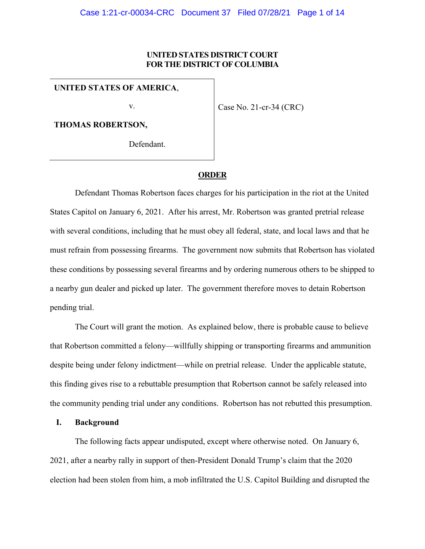## **UNITED STATES DISTRICT COURT FOR THE DISTRICT OF COLUMBIA**

**UNITED STATES OF AMERICA**,

v.

Case No. 21-cr-34 (CRC)

**THOMAS ROBERTSON,**

Defendant.

# **ORDER**

Defendant Thomas Robertson faces charges for his participation in the riot at the United States Capitol on January 6, 2021. After his arrest, Mr. Robertson was granted pretrial release with several conditions, including that he must obey all federal, state, and local laws and that he must refrain from possessing firearms. The government now submits that Robertson has violated these conditions by possessing several firearms and by ordering numerous others to be shipped to a nearby gun dealer and picked up later. The government therefore moves to detain Robertson pending trial.

The Court will grant the motion. As explained below, there is probable cause to believe that Robertson committed a felony—willfully shipping or transporting firearms and ammunition despite being under felony indictment—while on pretrial release. Under the applicable statute, this finding gives rise to a rebuttable presumption that Robertson cannot be safely released into the community pending trial under any conditions. Robertson has not rebutted this presumption.

#### **I. Background**

The following facts appear undisputed, except where otherwise noted. On January 6, 2021, after a nearby rally in support of then-President Donald Trump's claim that the 2020 election had been stolen from him, a mob infiltrated the U.S. Capitol Building and disrupted the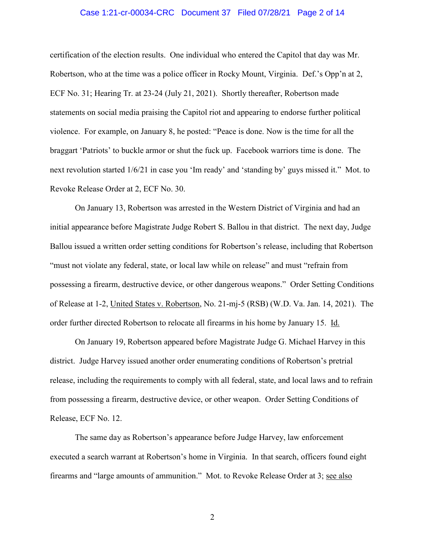## Case 1:21-cr-00034-CRC Document 37 Filed 07/28/21 Page 2 of 14

certification of the election results. One individual who entered the Capitol that day was Mr. Robertson, who at the time was a police officer in Rocky Mount, Virginia. Def.'s Opp'n at 2, ECF No. 31; Hearing Tr. at 23-24 (July 21, 2021). Shortly thereafter, Robertson made statements on social media praising the Capitol riot and appearing to endorse further political violence. For example, on January 8, he posted: "Peace is done. Now is the time for all the braggart 'Patriots' to buckle armor or shut the fuck up. Facebook warriors time is done. The next revolution started 1/6/21 in case you 'Im ready' and 'standing by' guys missed it." Mot. to Revoke Release Order at 2, ECF No. 30.

On January 13, Robertson was arrested in the Western District of Virginia and had an initial appearance before Magistrate Judge Robert S. Ballou in that district. The next day, Judge Ballou issued a written order setting conditions for Robertson's release, including that Robertson "must not violate any federal, state, or local law while on release" and must "refrain from possessing a firearm, destructive device, or other dangerous weapons." Order Setting Conditions of Release at 1-2, United States v. Robertson, No. 21-mj-5 (RSB) (W.D. Va. Jan. 14, 2021). The order further directed Robertson to relocate all firearms in his home by January 15. Id.

On January 19, Robertson appeared before Magistrate Judge G. Michael Harvey in this district. Judge Harvey issued another order enumerating conditions of Robertson's pretrial release, including the requirements to comply with all federal, state, and local laws and to refrain from possessing a firearm, destructive device, or other weapon. Order Setting Conditions of Release, ECF No. 12.

The same day as Robertson's appearance before Judge Harvey, law enforcement executed a search warrant at Robertson's home in Virginia. In that search, officers found eight firearms and "large amounts of ammunition." Mot. to Revoke Release Order at 3; see also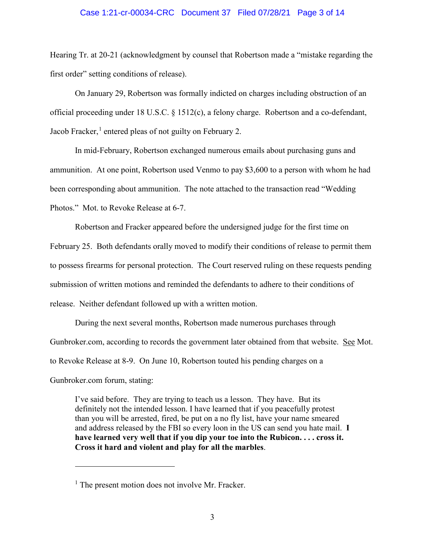## Case 1:21-cr-00034-CRC Document 37 Filed 07/28/21 Page 3 of 14

Hearing Tr. at 20-21 (acknowledgment by counsel that Robertson made a "mistake regarding the first order" setting conditions of release).

On January 29, Robertson was formally indicted on charges including obstruction of an official proceeding under 18 U.S.C. § 1512(c), a felony charge. Robertson and a co-defendant, Jacob Fracker, $<sup>1</sup>$  $<sup>1</sup>$  $<sup>1</sup>$  entered pleas of not guilty on February 2.</sup>

In mid-February, Robertson exchanged numerous emails about purchasing guns and ammunition. At one point, Robertson used Venmo to pay \$3,600 to a person with whom he had been corresponding about ammunition. The note attached to the transaction read "Wedding Photos." Mot. to Revoke Release at 6-7.

Robertson and Fracker appeared before the undersigned judge for the first time on February 25. Both defendants orally moved to modify their conditions of release to permit them to possess firearms for personal protection. The Court reserved ruling on these requests pending submission of written motions and reminded the defendants to adhere to their conditions of release. Neither defendant followed up with a written motion.

During the next several months, Robertson made numerous purchases through Gunbroker.com, according to records the government later obtained from that website. See Mot. to Revoke Release at 8-9. On June 10, Robertson touted his pending charges on a Gunbroker.com forum, stating:

I've said before. They are trying to teach us a lesson. They have. But its definitely not the intended lesson. I have learned that if you peacefully protest than you will be arrested, fired, be put on a no fly list, have your name smeared and address released by the FBI so every loon in the US can send you hate mail. **I have learned very well that if you dip your toe into the Rubicon. . . . cross it. Cross it hard and violent and play for all the marbles**.

 $\overline{a}$ 

<span id="page-2-0"></span><sup>&</sup>lt;sup>1</sup> The present motion does not involve Mr. Fracker.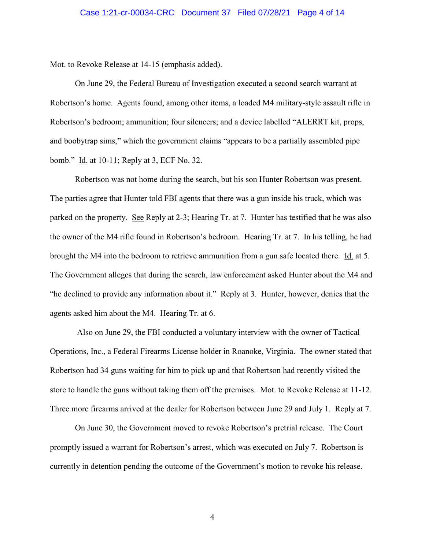Mot. to Revoke Release at 14-15 (emphasis added).

On June 29, the Federal Bureau of Investigation executed a second search warrant at Robertson's home. Agents found, among other items, a loaded M4 military-style assault rifle in Robertson's bedroom; ammunition; four silencers; and a device labelled "ALERRT kit, props, and boobytrap sims," which the government claims "appears to be a partially assembled pipe bomb." Id. at 10-11; Reply at 3, ECF No. 32.

Robertson was not home during the search, but his son Hunter Robertson was present. The parties agree that Hunter told FBI agents that there was a gun inside his truck, which was parked on the property. See Reply at 2-3; Hearing Tr. at 7. Hunter has testified that he was also the owner of the M4 rifle found in Robertson's bedroom. Hearing Tr. at 7. In his telling, he had brought the M4 into the bedroom to retrieve ammunition from a gun safe located there. Id. at 5. The Government alleges that during the search, law enforcement asked Hunter about the M4 and "he declined to provide any information about it." Reply at 3. Hunter, however, denies that the agents asked him about the M4. Hearing Tr. at 6.

Also on June 29, the FBI conducted a voluntary interview with the owner of Tactical Operations, Inc., a Federal Firearms License holder in Roanoke, Virginia. The owner stated that Robertson had 34 guns waiting for him to pick up and that Robertson had recently visited the store to handle the guns without taking them off the premises. Mot. to Revoke Release at 11-12. Three more firearms arrived at the dealer for Robertson between June 29 and July 1. Reply at 7.

On June 30, the Government moved to revoke Robertson's pretrial release. The Court promptly issued a warrant for Robertson's arrest, which was executed on July 7. Robertson is currently in detention pending the outcome of the Government's motion to revoke his release.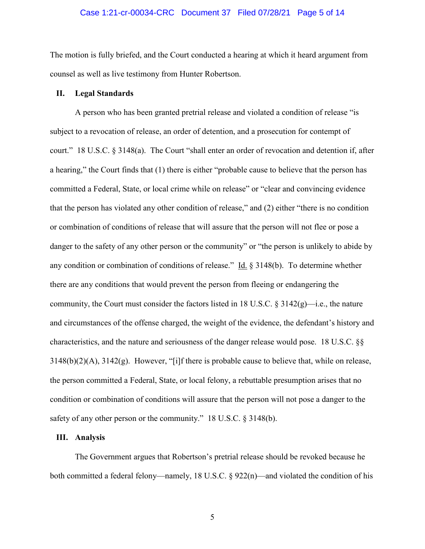#### Case 1:21-cr-00034-CRC Document 37 Filed 07/28/21 Page 5 of 14

The motion is fully briefed, and the Court conducted a hearing at which it heard argument from counsel as well as live testimony from Hunter Robertson.

## **II. Legal Standards**

A person who has been granted pretrial release and violated a condition of release "is subject to a revocation of release, an order of detention, and a prosecution for contempt of court." 18 U.S.C. § 3148(a). The Court "shall enter an order of revocation and detention if, after a hearing," the Court finds that (1) there is either "probable cause to believe that the person has committed a Federal, State, or local crime while on release" or "clear and convincing evidence that the person has violated any other condition of release," and (2) either "there is no condition or combination of conditions of release that will assure that the person will not flee or pose a danger to the safety of any other person or the community" or "the person is unlikely to abide by any condition or combination of conditions of release." Id.  $\S$  3148(b). To determine whether there are any conditions that would prevent the person from fleeing or endangering the community, the Court must consider the factors listed in 18 U.S.C.  $\S 3142(g)$ —i.e., the nature and circumstances of the offense charged, the weight of the evidence, the defendant's history and characteristics, and the nature and seriousness of the danger release would pose. 18 U.S.C. §§  $3148(b)(2)(A)$ ,  $3142(g)$ . However, "[i]f there is probable cause to believe that, while on release, the person committed a Federal, State, or local felony, a rebuttable presumption arises that no condition or combination of conditions will assure that the person will not pose a danger to the safety of any other person or the community." 18 U.S.C. § 3148(b).

#### **III. Analysis**

The Government argues that Robertson's pretrial release should be revoked because he both committed a federal felony—namely, 18 U.S.C. § 922(n)—and violated the condition of his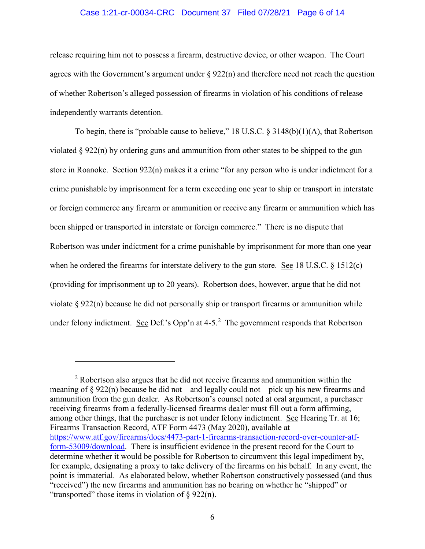## Case 1:21-cr-00034-CRC Document 37 Filed 07/28/21 Page 6 of 14

release requiring him not to possess a firearm, destructive device, or other weapon. The Court agrees with the Government's argument under  $\S 922(n)$  and therefore need not reach the question of whether Robertson's alleged possession of firearms in violation of his conditions of release independently warrants detention.

To begin, there is "probable cause to believe," 18 U.S.C. § 3148(b)(1)(A), that Robertson violated § 922(n) by ordering guns and ammunition from other states to be shipped to the gun store in Roanoke. Section 922(n) makes it a crime "for any person who is under indictment for a crime punishable by imprisonment for a term exceeding one year to ship or transport in interstate or foreign commerce any firearm or ammunition or receive any firearm or ammunition which has been shipped or transported in interstate or foreign commerce." There is no dispute that Robertson was under indictment for a crime punishable by imprisonment for more than one year when he ordered the firearms for interstate delivery to the gun store. See 18 U.S.C. § 1512(c) (providing for imprisonment up to 20 years). Robertson does, however, argue that he did not violate § 922(n) because he did not personally ship or transport firearms or ammunition while under felony indictment. See Def.'s Opp'n at 4-5.<sup>[2](#page-5-0)</sup> The government responds that Robertson

 $\overline{a}$ 

<span id="page-5-0"></span><sup>&</sup>lt;sup>2</sup> Robertson also argues that he did not receive firearms and ammunition within the meaning of § 922(n) because he did not—and legally could not—pick up his new firearms and ammunition from the gun dealer. As Robertson's counsel noted at oral argument, a purchaser receiving firearms from a federally-licensed firearms dealer must fill out a form affirming, among other things, that the purchaser is not under felony indictment. See Hearing Tr. at 16; Firearms Transaction Record, ATF Form 4473 (May 2020), available at [https://www.atf.gov/firearms/docs/4473-part-1-firearms-transaction-record-over-counter-atf](https://www.atf.gov/firearms/docs/4473-part-1-firearms-transaction-record-over-counter-atf-form-53009/download)[form-53009/download.](https://www.atf.gov/firearms/docs/4473-part-1-firearms-transaction-record-over-counter-atf-form-53009/download) There is insufficient evidence in the present record for the Court to determine whether it would be possible for Robertson to circumvent this legal impediment by, for example, designating a proxy to take delivery of the firearms on his behalf. In any event, the point is immaterial. As elaborated below, whether Robertson constructively possessed (and thus "received") the new firearms and ammunition has no bearing on whether he "shipped" or "transported" those items in violation of  $\S$  922(n).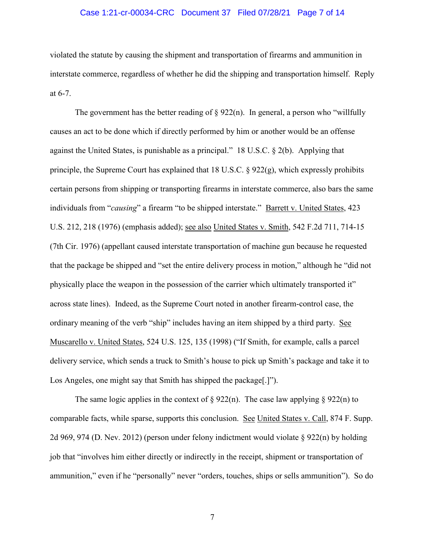## Case 1:21-cr-00034-CRC Document 37 Filed 07/28/21 Page 7 of 14

violated the statute by causing the shipment and transportation of firearms and ammunition in interstate commerce, regardless of whether he did the shipping and transportation himself. Reply at 6-7.

The government has the better reading of  $\S 922(n)$ . In general, a person who "willfully" causes an act to be done which if directly performed by him or another would be an offense against the United States, is punishable as a principal." 18 U.S.C. § 2(b). Applying that principle, the Supreme Court has explained that 18 U.S.C. § 922(g), which expressly prohibits certain persons from shipping or transporting firearms in interstate commerce, also bars the same individuals from "*causing*" a firearm "to be shipped interstate." Barrett v. United States, 423 U.S. 212, 218 (1976) (emphasis added); see also United States v. Smith, 542 F.2d 711, 714-15 (7th Cir. 1976) (appellant caused interstate transportation of machine gun because he requested that the package be shipped and "set the entire delivery process in motion," although he "did not physically place the weapon in the possession of the carrier which ultimately transported it" across state lines). Indeed, as the Supreme Court noted in another firearm-control case, the ordinary meaning of the verb "ship" includes having an item shipped by a third party. See Muscarello v. United States, 524 U.S. 125, 135 (1998) ("If Smith, for example, calls a parcel delivery service, which sends a truck to Smith's house to pick up Smith's package and take it to Los Angeles, one might say that Smith has shipped the package[.]").

The same logic applies in the context of  $\S 922(n)$ . The case law applying  $\S 922(n)$  to comparable facts, while sparse, supports this conclusion. See United States v. Call, 874 F. Supp. 2d 969, 974 (D. Nev. 2012) (person under felony indictment would violate § 922(n) by holding job that "involves him either directly or indirectly in the receipt, shipment or transportation of ammunition," even if he "personally" never "orders, touches, ships or sells ammunition"). So do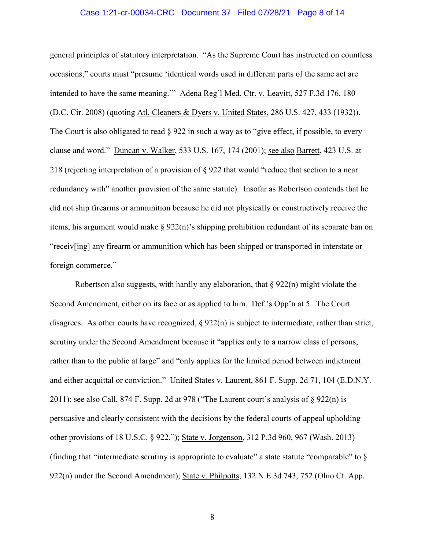### Case 1:21-cr-00034-CRC Document 37 Filed 07/28/21 Page 8 of 14

general principles of statutory interpretation. "As the Supreme Court has instructed on countless occasions," courts must "presume 'identical words used in different parts of the same act are intended to have the same meaning.'" Adena Reg'l Med. Ctr. v. Leavitt, 527 F.3d 176, 180 (D.C. Cir. 2008) (quoting Atl. Cleaners & Dyers v. United States, 286 U.S. 427, 433 (1932)). The Court is also obligated to read  $\S 922$  in such a way as to "give effect, if possible, to every clause and word." Duncan v. Walker, 533 U.S. 167, 174 (2001); see also Barrett, 423 U.S. at 218 (rejecting interpretation of a provision of § 922 that would "reduce that section to a near redundancy with" another provision of the same statute). Insofar as Robertson contends that he did not ship firearms or ammunition because he did not physically or constructively receive the items, his argument would make § 922(n)'s shipping prohibition redundant of its separate ban on "receiv[ing] any firearm or ammunition which has been shipped or transported in interstate or foreign commerce."

Robertson also suggests, with hardly any elaboration, that  $\S 922(n)$  might violate the Second Amendment, either on its face or as applied to him. Def.'s Opp'n at 5. The Court disagrees. As other courts have recognized,  $\S 922(n)$  is subject to intermediate, rather than strict, scrutiny under the Second Amendment because it "applies only to a narrow class of persons, rather than to the public at large" and "only applies for the limited period between indictment and either acquittal or conviction." United States v. Laurent, 861 F. Supp. 2d 71, 104 (E.D.N.Y. 2011); see also Call, 874 F. Supp. 2d at 978 ("The Laurent court's analysis of  $\S$  922(n) is persuasive and clearly consistent with the decisions by the federal courts of appeal upholding other provisions of 18 U.S.C. § 922."); State v. Jorgenson, 312 P.3d 960, 967 (Wash. 2013) (finding that "intermediate scrutiny is appropriate to evaluate" a state statute "comparable" to  $\S$ 922(n) under the Second Amendment); State v. Philpotts, 132 N.E.3d 743, 752 (Ohio Ct. App.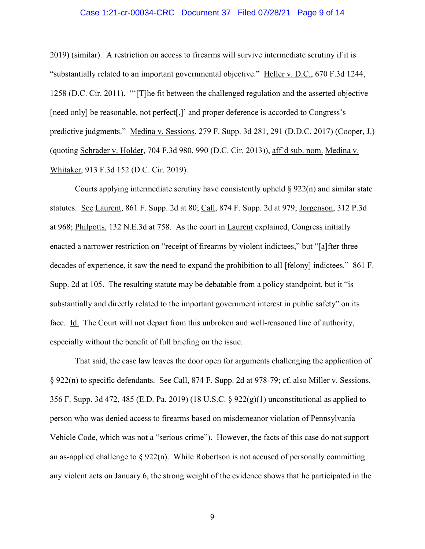## Case 1:21-cr-00034-CRC Document 37 Filed 07/28/21 Page 9 of 14

2019) (similar). A restriction on access to firearms will survive intermediate scrutiny if it is "substantially related to an important governmental objective." Heller v. D.C., 670 F.3d 1244, 1258 (D.C. Cir. 2011). "'[T]he fit between the challenged regulation and the asserted objective [need only] be reasonable, not perfect[,]' and proper deference is accorded to Congress's predictive judgments." Medina v. Sessions, 279 F. Supp. 3d 281, 291 (D.D.C. 2017) (Cooper, J.) (quoting Schrader v. Holder, 704 F.3d 980, 990 (D.C. Cir. 2013)), aff'd sub. nom. Medina v. Whitaker, 913 F.3d 152 (D.C. Cir. 2019).

Courts applying intermediate scrutiny have consistently upheld  $\S 922(n)$  and similar state statutes. See Laurent, 861 F. Supp. 2d at 80; Call, 874 F. Supp. 2d at 979; Jorgenson, 312 P.3d at 968; Philpotts, 132 N.E.3d at 758. As the court in Laurent explained, Congress initially enacted a narrower restriction on "receipt of firearms by violent indictees," but "[a]fter three decades of experience, it saw the need to expand the prohibition to all [felony] indictees." 861 F. Supp. 2d at 105. The resulting statute may be debatable from a policy standpoint, but it "is substantially and directly related to the important government interest in public safety" on its face. Id. The Court will not depart from this unbroken and well-reasoned line of authority, especially without the benefit of full briefing on the issue.

That said, the case law leaves the door open for arguments challenging the application of § 922(n) to specific defendants. See Call, 874 F. Supp. 2d at 978-79; cf. also Miller v. Sessions, 356 F. Supp. 3d 472, 485 (E.D. Pa. 2019) (18 U.S.C. §  $922(g)(1)$  unconstitutional as applied to person who was denied access to firearms based on misdemeanor violation of Pennsylvania Vehicle Code, which was not a "serious crime"). However, the facts of this case do not support an as-applied challenge to  $\S 922(n)$ . While Robertson is not accused of personally committing any violent acts on January 6, the strong weight of the evidence shows that he participated in the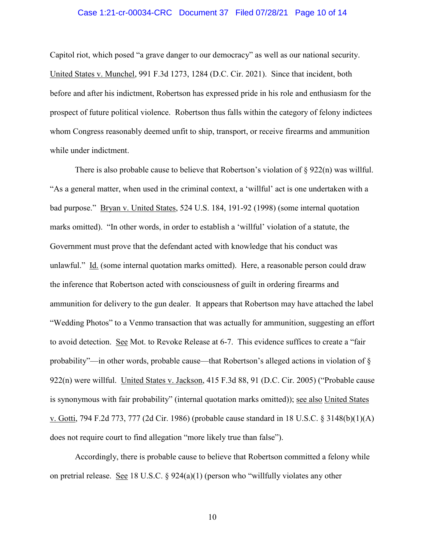## Case 1:21-cr-00034-CRC Document 37 Filed 07/28/21 Page 10 of 14

Capitol riot, which posed "a grave danger to our democracy" as well as our national security. United States v. Munchel, 991 F.3d 1273, 1284 (D.C. Cir. 2021). Since that incident, both before and after his indictment, Robertson has expressed pride in his role and enthusiasm for the prospect of future political violence. Robertson thus falls within the category of felony indictees whom Congress reasonably deemed unfit to ship, transport, or receive firearms and ammunition while under indictment.

There is also probable cause to believe that Robertson's violation of  $\S$  922(n) was willful. "As a general matter, when used in the criminal context, a 'willful' act is one undertaken with a bad purpose." Bryan v. United States, 524 U.S. 184, 191-92 (1998) (some internal quotation marks omitted). "In other words, in order to establish a 'willful' violation of a statute, the Government must prove that the defendant acted with knowledge that his conduct was unlawful." Id. (some internal quotation marks omitted). Here, a reasonable person could draw the inference that Robertson acted with consciousness of guilt in ordering firearms and ammunition for delivery to the gun dealer. It appears that Robertson may have attached the label "Wedding Photos" to a Venmo transaction that was actually for ammunition, suggesting an effort to avoid detection. See Mot. to Revoke Release at 6-7. This evidence suffices to create a "fair probability"—in other words, probable cause—that Robertson's alleged actions in violation of § 922(n) were willful. United States v. Jackson, 415 F.3d 88, 91 (D.C. Cir. 2005) ("Probable cause is synonymous with fair probability" (internal quotation marks omitted)); see also United States v. Gotti, 794 F.2d 773, 777 (2d Cir. 1986) (probable cause standard in 18 U.S.C. § 3148(b)(1)(A) does not require court to find allegation "more likely true than false").

Accordingly, there is probable cause to believe that Robertson committed a felony while on pretrial release. See 18 U.S.C. § 924(a)(1) (person who "willfully violates any other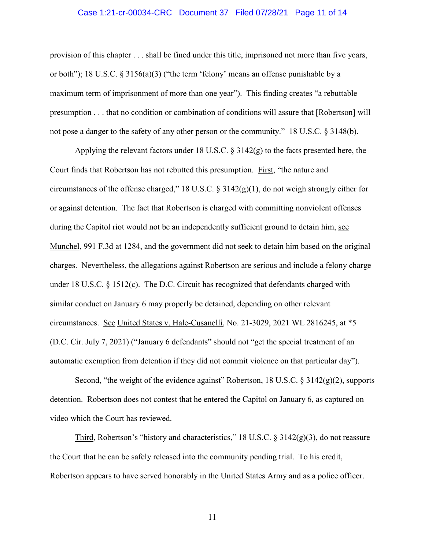## Case 1:21-cr-00034-CRC Document 37 Filed 07/28/21 Page 11 of 14

provision of this chapter . . . shall be fined under this title, imprisoned not more than five years, or both"); 18 U.S.C. § 3156(a)(3) ("the term 'felony' means an offense punishable by a maximum term of imprisonment of more than one year"). This finding creates "a rebuttable presumption . . . that no condition or combination of conditions will assure that [Robertson] will not pose a danger to the safety of any other person or the community." 18 U.S.C. § 3148(b).

Applying the relevant factors under 18 U.S.C.  $\S$  3142(g) to the facts presented here, the Court finds that Robertson has not rebutted this presumption. First, "the nature and circumstances of the offense charged," 18 U.S.C. § 3142(g)(1), do not weigh strongly either for or against detention. The fact that Robertson is charged with committing nonviolent offenses during the Capitol riot would not be an independently sufficient ground to detain him, see Munchel, 991 F.3d at 1284, and the government did not seek to detain him based on the original charges. Nevertheless, the allegations against Robertson are serious and include a felony charge under 18 U.S.C. § 1512(c). The D.C. Circuit has recognized that defendants charged with similar conduct on January 6 may properly be detained, depending on other relevant circumstances. See United States v. Hale-Cusanelli, No. 21-3029, 2021 WL 2816245, at \*5 (D.C. Cir. July 7, 2021) ("January 6 defendants" should not "get the special treatment of an automatic exemption from detention if they did not commit violence on that particular day").

Second, "the weight of the evidence against" Robertson, 18 U.S.C. § 3142(g)(2), supports detention. Robertson does not contest that he entered the Capitol on January 6, as captured on video which the Court has reviewed.

Third, Robertson's "history and characteristics," 18 U.S.C. § 3142(g)(3), do not reassure the Court that he can be safely released into the community pending trial. To his credit, Robertson appears to have served honorably in the United States Army and as a police officer.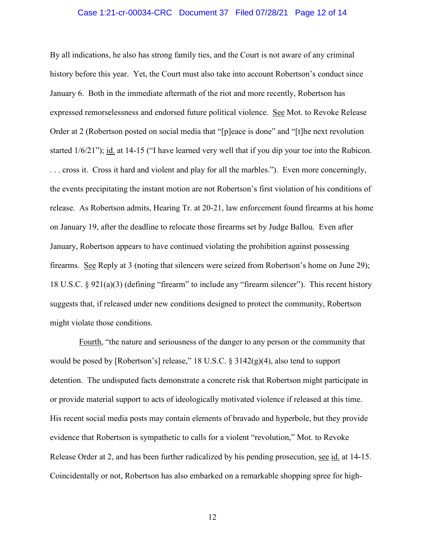## Case 1:21-cr-00034-CRC Document 37 Filed 07/28/21 Page 12 of 14

By all indications, he also has strong family ties, and the Court is not aware of any criminal history before this year. Yet, the Court must also take into account Robertson's conduct since January 6. Both in the immediate aftermath of the riot and more recently, Robertson has expressed remorselessness and endorsed future political violence. See Mot. to Revoke Release Order at 2 (Robertson posted on social media that "[p]eace is done" and "[t]he next revolution started 1/6/21"); id. at 14-15 ("I have learned very well that if you dip your toe into the Rubicon. . . . cross it. Cross it hard and violent and play for all the marbles."). Even more concerningly, the events precipitating the instant motion are not Robertson's first violation of his conditions of release. As Robertson admits, Hearing Tr. at 20-21, law enforcement found firearms at his home on January 19, after the deadline to relocate those firearms set by Judge Ballou. Even after January, Robertson appears to have continued violating the prohibition against possessing firearms. See Reply at 3 (noting that silencers were seized from Robertson's home on June 29); 18 U.S.C. § 921(a)(3) (defining "firearm" to include any "firearm silencer"). This recent history suggests that, if released under new conditions designed to protect the community, Robertson might violate those conditions.

Fourth, "the nature and seriousness of the danger to any person or the community that would be posed by [Robertson's] release," 18 U.S.C. § 3142(g)(4), also tend to support detention. The undisputed facts demonstrate a concrete risk that Robertson might participate in or provide material support to acts of ideologically motivated violence if released at this time. His recent social media posts may contain elements of bravado and hyperbole, but they provide evidence that Robertson is sympathetic to calls for a violent "revolution," Mot. to Revoke Release Order at 2, and has been further radicalized by his pending prosecution, see id. at 14-15. Coincidentally or not, Robertson has also embarked on a remarkable shopping spree for high-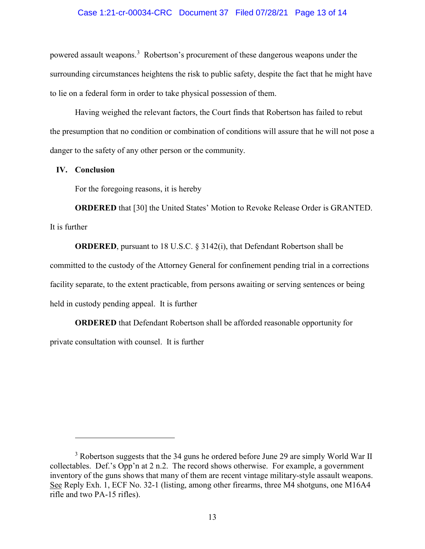## Case 1:21-cr-00034-CRC Document 37 Filed 07/28/21 Page 13 of 14

powered assault weapons.<sup>[3](#page-12-0)</sup> Robertson's procurement of these dangerous weapons under the surrounding circumstances heightens the risk to public safety, despite the fact that he might have to lie on a federal form in order to take physical possession of them.

Having weighed the relevant factors, the Court finds that Robertson has failed to rebut the presumption that no condition or combination of conditions will assure that he will not pose a danger to the safety of any other person or the community.

## **IV. Conclusion**

 $\overline{a}$ 

For the foregoing reasons, it is hereby

**ORDERED** that [30] the United States' Motion to Revoke Release Order is GRANTED. It is further

**ORDERED**, pursuant to 18 U.S.C. § 3142(i), that Defendant Robertson shall be committed to the custody of the Attorney General for confinement pending trial in a corrections facility separate, to the extent practicable, from persons awaiting or serving sentences or being held in custody pending appeal. It is further

**ORDERED** that Defendant Robertson shall be afforded reasonable opportunity for private consultation with counsel. It is further

<span id="page-12-0"></span><sup>&</sup>lt;sup>3</sup> Robertson suggests that the 34 guns he ordered before June 29 are simply World War II collectables. Def.'s Opp'n at 2 n.2. The record shows otherwise. For example, a government inventory of the guns shows that many of them are recent vintage military-style assault weapons. See Reply Exh. 1, ECF No. 32-1 (listing, among other firearms, three M4 shotguns, one M16A4 rifle and two PA-15 rifles).